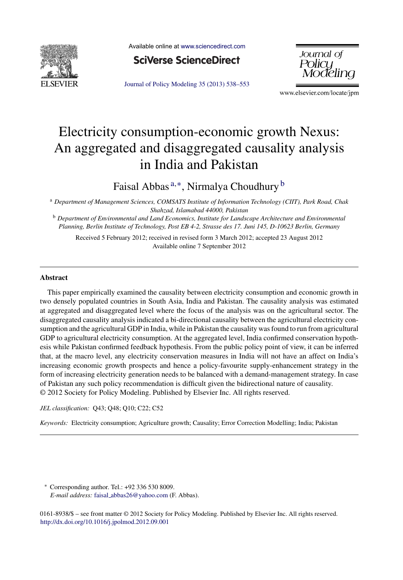

Available online at [www.sciencedirect.com](http://www.sciencedirect.com/science/journal/01618938)



Journal of Policy [Modeling](dx.doi.org/10.1016/j.jpolmod.2012.09.001) 35 (2013) 538–553



www.elsevier.com/locate/jpm

# Electricity consumption-economic growth Nexus: An aggregated and disaggregated causality analysis in India and Pakistan

Faisal Abbas <sup>a</sup>,∗, Nirmalya Choudhury <sup>b</sup>

<sup>a</sup> *Department of Management Sciences, COMSATS Institute of Information Technology (CIIT), Park Road, Chak Shahzad, Islamabad 44000, Pakistan*

<sup>b</sup> *Department of Environmental and Land Economics, Institute for Landscape Architecture and Environmental Planning, Berlin Institute of Technology, Post EB 4-2, Strasse des 17. Juni 145, D-10623 Berlin, Germany*

Received 5 February 2012; received in revised form 3 March 2012; accepted 23 August 2012 Available online 7 September 2012

### **Abstract**

This paper empirically examined the causality between electricity consumption and economic growth in two densely populated countries in South Asia, India and Pakistan. The causality analysis was estimated at aggregated and disaggregated level where the focus of the analysis was on the agricultural sector. The disaggregated causality analysis indicated a bi-directional causality between the agricultural electricity consumption and the agricultural GDP in India, while in Pakistan the causality was found to run from agricultural GDP to agricultural electricity consumption. At the aggregated level, India confirmed conservation hypothesis while Pakistan confirmed feedback hypothesis. From the public policy point of view, it can be inferred that, at the macro level, any electricity conservation measures in India will not have an affect on India's increasing economic growth prospects and hence a policy-favourite supply-enhancement strategy in the form of increasing electricity generation needs to be balanced with a demand-management strategy. In case of Pakistan any such policy recommendation is difficult given the bidirectional nature of causality. © 2012 Society for Policy Modeling. Published by Elsevier Inc. All rights reserved.

## *JEL classification:* Q43; Q48; Q10; C22; C52

*Keywords:* Electricity consumption; Agriculture growth; Causality; Error Correction Modelling; India; Pakistan

∗ Corresponding author. Tel.: +92 336 530 8009. *E-mail address:* faisal [abbas26@yahoo.com](mailto:faisal_abbas26@yahoo.com) (F. Abbas).

0161-8938/\$ – see front matter © 2012 Society for Policy Modeling. Published by Elsevier Inc. All rights reserved. [http://dx.doi.org/10.1016/j.jpolmod.2012.09.001](dx.doi.org/10.1016/j.jpolmod.2012.09.001)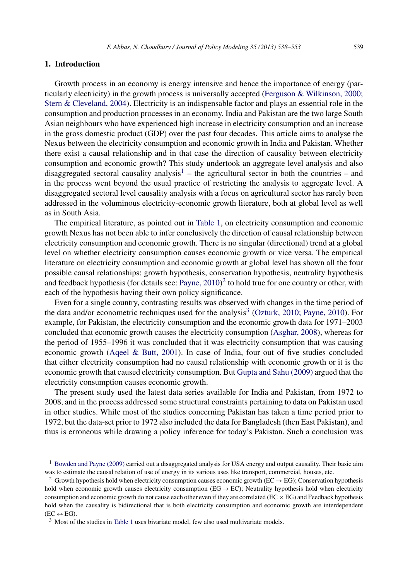### **1. Introduction**

Growth process in an economy is energy intensive and hence the importance of energy (particularly electricity) in the growth process is universally accepted ([Ferguson](#page--1-0) [&](#page--1-0) [Wilkinson,](#page--1-0) [2000;](#page--1-0) [Stern](#page--1-0) [&](#page--1-0) [Cleveland,](#page--1-0) [2004\).](#page--1-0) Electricity is an indispensable factor and plays an essential role in the consumption and production processes in an economy. India and Pakistan are the two large South Asian neighbours who have experienced high increase in electricity consumption and an increase in the gross domestic product (GDP) over the past four decades. This article aims to analyse the Nexus between the electricity consumption and economic growth in India and Pakistan. Whether there exist a causal relationship and in that case the direction of causality between electricity consumption and economic growth? This study undertook an aggregate level analysis and also disaggregated sectoral causality analysis<sup>1</sup> – the agricultural sector in both the countries – and in the process went beyond the usual practice of restricting the analysis to aggregate level. A disaggregated sectoral level causality analysis with a focus on agricultural sector has rarely been addressed in the voluminous electricity-economic growth literature, both at global level as well as in South Asia.

The empirical literature, as pointed out in [Table](#page--1-0) 1, on electricity consumption and economic growth Nexus has not been able to infer conclusively the direction of causal relationship between electricity consumption and economic growth. There is no singular (directional) trend at a global level on whether electricity consumption causes economic growth or vice versa. The empirical literature on electricity consumption and economic growth at global level has shown all the four possible causal relationships: growth hypothesis, conservation hypothesis, neutrality hypothesis and feedback hypothesis (for details see: [Payne,](#page--1-0) [2010\)](#page--1-0)<sup>2</sup> to hold true for one country or other, with each of the hypothesis having their own policy significance.

Even for a single country, contrasting results was observed with changes in the time period of the data and/or econometric techniques used for the analysis<sup>3</sup> ([Ozturk,](#page--1-0) [2010;](#page--1-0) [Payne,](#page--1-0) [2010\).](#page--1-0) For example, for Pakistan, the electricity consumption and the economic growth data for 1971–2003 concluded that economic growth causes the electricity consumption ([Asghar,](#page--1-0) [2008\),](#page--1-0) whereas for the period of 1955–1996 it was concluded that it was electricity consumption that was causing economic growth ([Aqeel](#page--1-0) [&](#page--1-0) [Butt,](#page--1-0) [2001\).](#page--1-0) In case of India, four out of five studies concluded that either electricity consumption had no causal relationship with economic growth or it is the economic growth that caused electricity consumption. But [Gupta](#page--1-0) [and](#page--1-0) [Sahu](#page--1-0) [\(2009\)](#page--1-0) argued that the electricity consumption causes economic growth.

The present study used the latest data series available for India and Pakistan, from 1972 to 2008, and in the process addressed some structural constraints pertaining to data on Pakistan used in other studies. While most of the studies concerning Pakistan has taken a time period prior to 1972, but the data-set prior to 1972 also included the data for Bangladesh (then East Pakistan), and thus is erroneous while drawing a policy inference for today's Pakistan. Such a conclusion was

<sup>&</sup>lt;sup>1</sup> [Bowden](#page--1-0) [and](#page--1-0) [Payne](#page--1-0) [\(2009\)](#page--1-0) carried out a disaggregated analysis for USA energy and output causality. Their basic aim was to estimate the causal relation of use of energy in its various uses like transport, commercial, houses, etc.

<sup>&</sup>lt;sup>2</sup> Growth hypothesis hold when electricity consumption causes economic growth (EC  $\rightarrow$  EG); Conservation hypothesis hold when economic growth causes electricity consumption ( $EG \rightarrow EC$ ); Neutrality hypothesis hold when electricity consumption and economic growth do not cause each other even if they are correlated ( $EC \times EG$ ) and Feedback hypothesis hold when the causality is bidirectional that is both electricity consumption and economic growth are interdependent  $(EC \leftrightarrow EG)$ .<br><sup>3</sup> Most of the studies in [Table](#page--1-0) 1 uses bivariate model, few also used multivariate models.